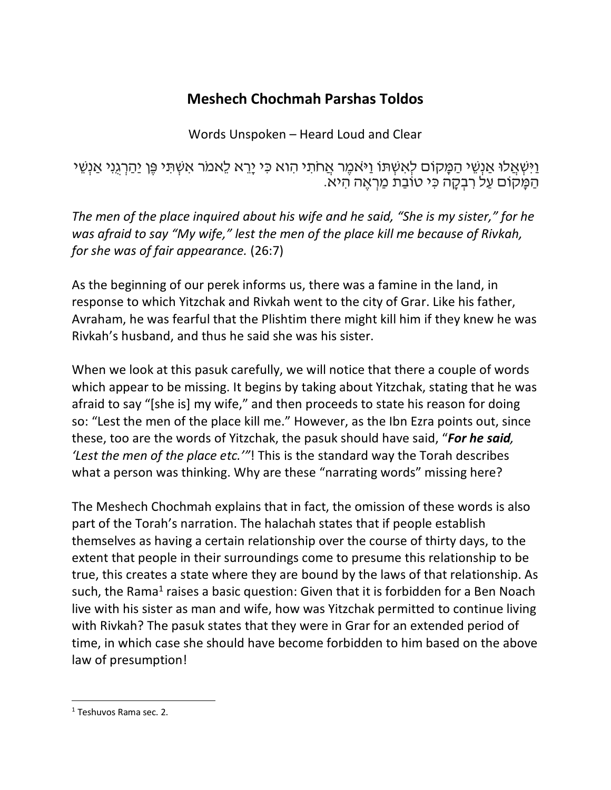## **Meshech Chochmah Parshas Toldos**

Words Unspoken – Heard Loud and Clear

וַיִּשְׁאֲלוּ אַנְשֵׁי הַמָּקוֹם לְאִשְׁתּוֹ וַיּאמֶר אֲחֹתִי הִוא כִּי יָרֵא לֵאמֹר אִשְׁתִּי פֶּן יַהַרְגֵנִי אַנְשֵׁי<br>הַמָּקוֹם עַל רִבְקָה כִּי טוֹבַת מַרְאֶה הִיא.

*The men of the place inquired about his wife and he said, "She is my sister," for he was afraid to say "My wife," lest the men of the place kill me because of Rivkah, for she was of fair appearance.* (26:7)

As the beginning of our perek informs us, there was a famine in the land, in response to which Yitzchak and Rivkah went to the city of Grar. Like his father, Avraham, he was fearful that the Plishtim there might kill him if they knew he was Rivkah's husband, and thus he said she was his sister.

When we look at this pasuk carefully, we will notice that there a couple of words which appear to be missing. It begins by taking about Yitzchak, stating that he was afraid to say "[she is] my wife," and then proceeds to state his reason for doing so: "Lest the men of the place kill me." However, as the Ibn Ezra points out, since these, too are the words of Yitzchak, the pasuk should have said, "*For he said, 'Lest the men of the place etc.'"*! This is the standard way the Torah describes what a person was thinking. Why are these "narrating words" missing here?

The Meshech Chochmah explains that in fact, the omission of these words is also part of the Torah's narration. The halachah states that if people establish themselves as having a certain relationship over the course of thirty days, to the extent that people in their surroundings come to presume this relationship to be true, this creates a state where they are bound by the laws of that relationship. As such, the Rama<sup>1</sup> raises a basic question: Given that it is forbidden for a Ben Noach live with his sister as man and wife, how was Yitzchak permitted to continue living with Rivkah? The pasuk states that they were in Grar for an extended period of time, in which case she should have become forbidden to him based on the above law of presumption!

 <sup>1</sup> Teshuvos Rama sec. 2.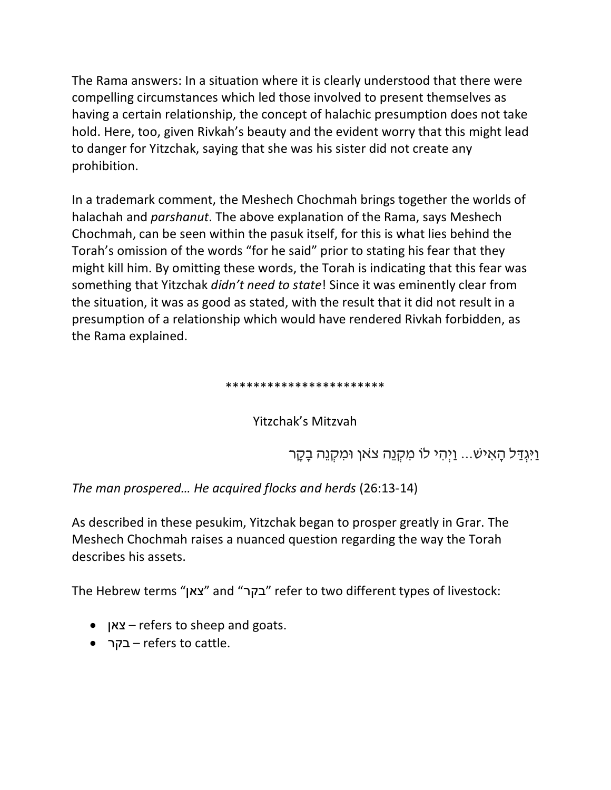The Rama answers: In a situation where it is clearly understood that there were compelling circumstances which led those involved to present themselves as having a certain relationship, the concept of halachic presumption does not take hold. Here, too, given Rivkah's beauty and the evident worry that this might lead to danger for Yitzchak, saying that she was his sister did not create any prohibition.

In a trademark comment, the Meshech Chochmah brings together the worlds of halachah and *parshanut*. The above explanation of the Rama, says Meshech Chochmah, can be seen within the pasuk itself, for this is what lies behind the Torah's omission of the words "for he said" prior to stating his fear that they might kill him. By omitting these words, the Torah is indicating that this fear was something that Yitzchak *didn't need to state*! Since it was eminently clear from the situation, it was as good as stated, with the result that it did not result in a presumption of a relationship which would have rendered Rivkah forbidden, as the Rama explained.

## \*\*\*\*\*\*\*\*\*\*\*\*\*\*\*\*\*\*\*\*\*\*\*

Yitzchak's Mitzvah

וַיְּגְדַל הַאִישׁ... וַיְהִי לוֹ מִקְנֵה צֹאוָ וּמִקְנֵה בָקָר

*The man prospered… He acquired flocks and herds* (26:13-14)

As described in these pesukim, Yitzchak began to prosper greatly in Grar. The Meshech Chochmah raises a nuanced question regarding the way the Torah describes his assets.

The Hebrew terms " ןאצ " and " רקב " refer to two different types of livestock:

- ןאצ refers to sheep and goats.
- רקב refers to cattle.